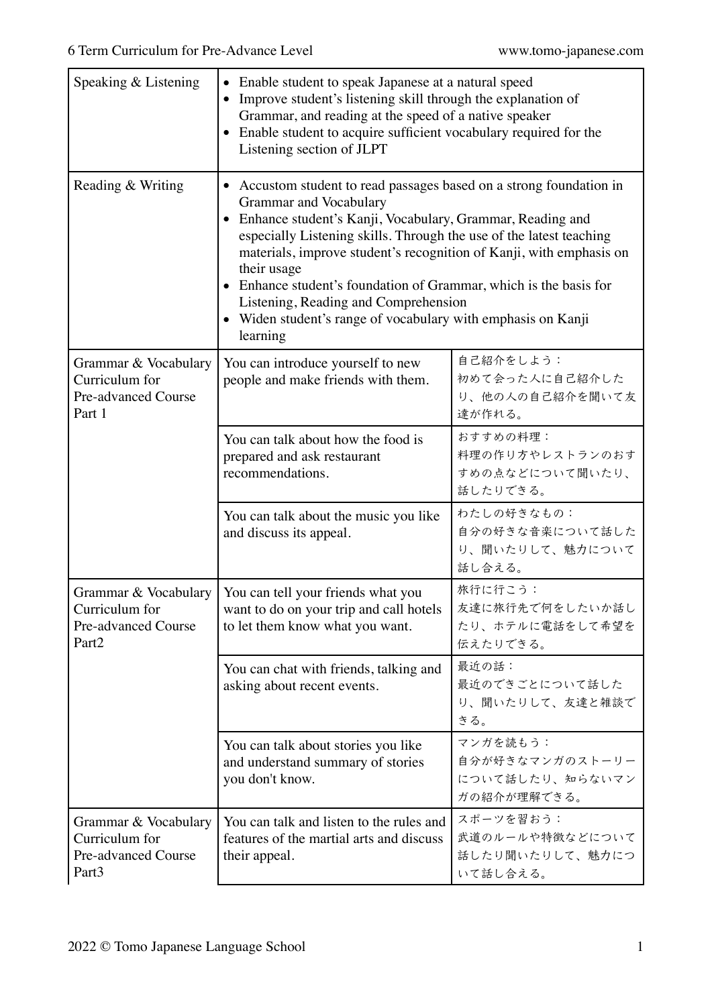| Speaking & Listening                                                                      | Enable student to speak Japanese at a natural speed<br>$\bullet$<br>Improve student's listening skill through the explanation of<br>$\bullet$<br>Grammar, and reading at the speed of a native speaker<br>Enable student to acquire sufficient vocabulary required for the<br>$\bullet$<br>Listening section of JLPT                                                                                                                                                                                           |                                                               |
|-------------------------------------------------------------------------------------------|----------------------------------------------------------------------------------------------------------------------------------------------------------------------------------------------------------------------------------------------------------------------------------------------------------------------------------------------------------------------------------------------------------------------------------------------------------------------------------------------------------------|---------------------------------------------------------------|
| Reading & Writing                                                                         | • Accustom student to read passages based on a strong foundation in<br>Grammar and Vocabulary<br>Enhance student's Kanji, Vocabulary, Grammar, Reading and<br>especially Listening skills. Through the use of the latest teaching<br>materials, improve student's recognition of Kanji, with emphasis on<br>their usage<br>Enhance student's foundation of Grammar, which is the basis for<br>Listening, Reading and Comprehension<br>• Widen student's range of vocabulary with emphasis on Kanji<br>learning |                                                               |
| Grammar & Vocabulary<br>Curriculum for<br><b>Pre-advanced Course</b><br>Part 1            | You can introduce yourself to new<br>people and make friends with them.                                                                                                                                                                                                                                                                                                                                                                                                                                        | 自己紹介をしよう:<br>初めて会った人に自己紹介した<br>り、他の人の自己紹介を聞いて友<br>達が作れる。      |
|                                                                                           | You can talk about how the food is<br>prepared and ask restaurant<br>recommendations.                                                                                                                                                                                                                                                                                                                                                                                                                          | おすすめの料理:<br>料理の作り方やレストランのおす<br>すめの点などについて聞いたり、<br>話したりできる。    |
|                                                                                           | You can talk about the music you like<br>and discuss its appeal.                                                                                                                                                                                                                                                                                                                                                                                                                                               | わたしの好きなもの:<br>自分の好きな音楽について話した<br>り、聞いたりして、魅力について<br>話し合える。    |
| Curriculum for<br>Pre-advanced Course<br>Part <sub>2</sub>                                | Grammar & Vocabulary   You can tell your friends what you<br>want to do on your trip and call hotels<br>to let them know what you want.                                                                                                                                                                                                                                                                                                                                                                        | 旅行に行こう:<br>友達に旅行先で何をしたいか話し<br>たり、ホテルに電話をして希望を<br>伝えたりできる。     |
|                                                                                           | You can chat with friends, talking and<br>asking about recent events.                                                                                                                                                                                                                                                                                                                                                                                                                                          | 最近の話:<br>最近のできごとについて話した<br>り、聞いたりして、友達と雑談で<br>きる。             |
|                                                                                           | You can talk about stories you like<br>and understand summary of stories<br>you don't know.                                                                                                                                                                                                                                                                                                                                                                                                                    | マンガを読もう:<br>自分が好きなマンガのストーリー<br>について話したり、知らないマン<br>ガの紹介が理解できる。 |
| Grammar & Vocabulary<br>Curriculum for<br><b>Pre-advanced Course</b><br>Part <sub>3</sub> | You can talk and listen to the rules and<br>features of the martial arts and discuss<br>their appeal.                                                                                                                                                                                                                                                                                                                                                                                                          | スポーツを習おう:<br>武道のルールや特徴などについて<br>話したり聞いたりして、魅力につ<br>いて話し合える。   |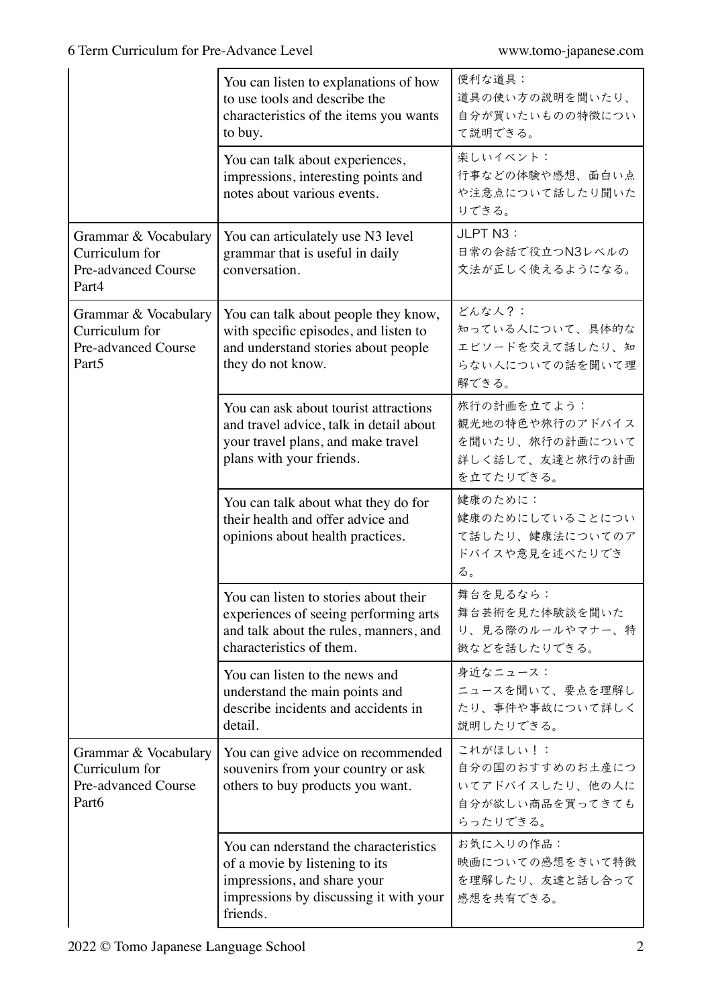|                                                                                           | You can listen to explanations of how<br>to use tools and describe the<br>characteristics of the items you wants<br>to buy.                                  | 便利な道具:<br>道具の使い方の説明を聞いたり、<br>自分が買いたいものの特徴につい<br>て説明できる。                           |
|-------------------------------------------------------------------------------------------|--------------------------------------------------------------------------------------------------------------------------------------------------------------|-----------------------------------------------------------------------------------|
|                                                                                           | You can talk about experiences,<br>impressions, interesting points and<br>notes about various events.                                                        | 楽しいイベント:<br>行事などの体験や感想、面白い点<br>や注意点について話したり聞いた<br>りできる。                           |
| Grammar & Vocabulary<br>Curriculum for<br>Pre-advanced Course<br>Part4                    | You can articulately use N3 level<br>grammar that is useful in daily<br>conversation.                                                                        | JLPT N3:<br>日常の会話で役立つN3レベルの<br>文法が正しく使えるようになる。                                    |
| Grammar & Vocabulary<br>Curriculum for<br><b>Pre-advanced Course</b><br>Part <sub>5</sub> | You can talk about people they know,<br>with specific episodes, and listen to<br>and understand stories about people<br>they do not know.                    | どんな人?:<br>知っている人について、具体的な<br>エピソードを交えて話したり、知<br>らない人についての話を聞いて理<br>解できる。          |
|                                                                                           | You can ask about tourist attractions<br>and travel advice, talk in detail about<br>your travel plans, and make travel<br>plans with your friends.           | 旅行の計画を立てよう:<br>観光地の特色や旅行のアドバイス<br>を聞いたり、旅行の計画について<br>詳しく話して、友達と旅行の計画<br>を立てたりできる。 |
|                                                                                           | You can talk about what they do for<br>their health and offer advice and<br>opinions about health practices.                                                 | 健康のために:<br>健康のためにしていることについ<br>て話したり、健康法についてのア<br>ドバイスや意見を述べたりでき<br>る。             |
|                                                                                           | You can listen to stories about their<br>experiences of seeing performing arts<br>and talk about the rules, manners, and<br>characteristics of them.         | 舞台を見るなら:<br>舞台芸術を見た体験談を聞いた<br>り、見る際のルールやマナー、特<br>徴などを話したりできる。                     |
|                                                                                           | You can listen to the news and<br>understand the main points and<br>describe incidents and accidents in<br>detail.                                           | 身近なニュース:<br>ニュースを聞いて、要点を理解し<br>たり、事件や事故について詳しく<br>説明したりできる。                       |
| Grammar & Vocabulary<br>Curriculum for<br><b>Pre-advanced Course</b><br>Part6             | You can give advice on recommended<br>souvenirs from your country or ask<br>others to buy products you want.                                                 | これがほしい!:<br>自分の国のおすすめのお土産につ<br>いてアドバイスしたり、他の人に<br>自分が欲しい商品を買ってきても<br>らったりできる。     |
|                                                                                           | You can nderstand the characteristics<br>of a movie by listening to its<br>impressions, and share your<br>impressions by discussing it with your<br>friends. | お気に入りの作品:<br>映画についての感想をきいて特徴<br>を理解したり、友達と話し合って<br>感想を共有できる。                      |